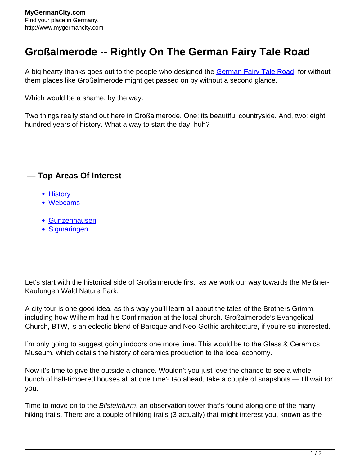## **Großalmerode -- Rightly On The German Fairy Tale Road**

A big hearty thanks goes out to the people who designed the [German Fairy Tale Road](http://www.mygermancity.com/german-fairy-tale-road), for without them places like Großalmerode might get passed on by without a second glance.

Which would be a shame, by the way.

Two things really stand out here in Großalmerode. One: its beautiful countryside. And, two: eight hundred years of history. What a way to start the day, huh?

## **— Top Areas Of Interest**

- [History](http://www.mygermancity.com/leipzig-history)
- [Webcams](http://www.mygermancity.com/neustadt-holstein-webcams)
- [Gunzenhausen](http://www.mygermancity.com/gunzenhausen)
- [Sigmaringen](http://www.mygermancity.com/sigmaringen)

Let's start with the historical side of Großalmerode first, as we work our way towards the Meißner-Kaufungen Wald Nature Park.

A city tour is one good idea, as this way you'll learn all about the tales of the Brothers Grimm, including how Wilhelm had his Confirmation at the local church. Großalmerode's Evangelical Church, BTW, is an eclectic blend of Baroque and Neo-Gothic architecture, if you're so interested.

I'm only going to suggest going indoors one more time. This would be to the Glass & Ceramics Museum, which details the history of ceramics production to the local economy.

Now it's time to give the outside a chance. Wouldn't you just love the chance to see a whole bunch of half-timbered houses all at one time? Go ahead, take a couple of snapshots — I'll wait for you.

Time to move on to the *Bilsteinturm*, an observation tower that's found along one of the many hiking trails. There are a couple of hiking trails (3 actually) that might interest you, known as the